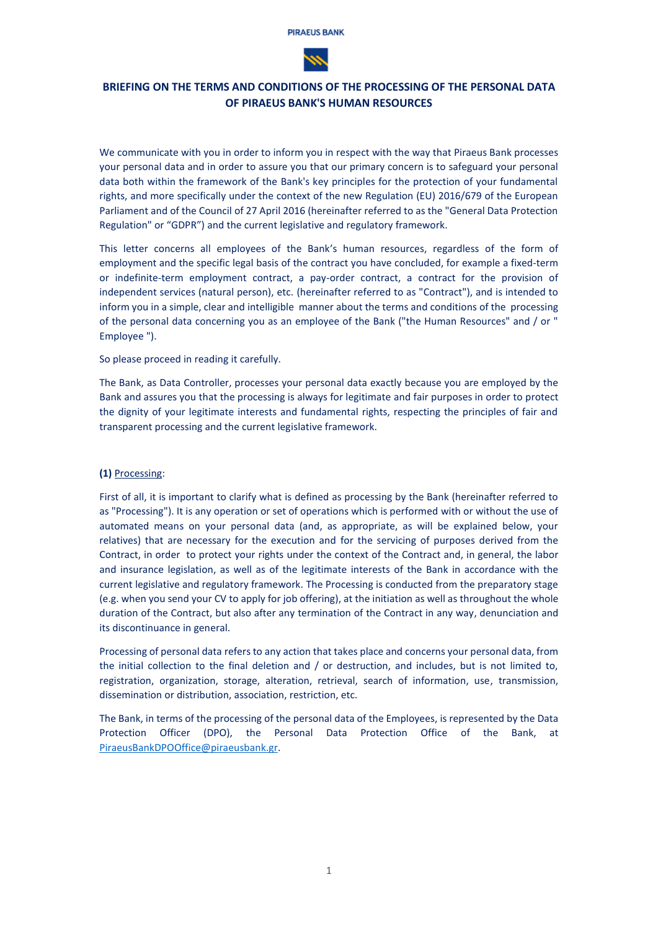

# **BRIEFING ON THE TERMS AND CONDITIONS OF THE PROCESSING OF THE PERSONAL DATA OF PIRAEUS BANK'S HUMAN RESOURCES**

We communicate with you in order to inform you in respect with the way that Piraeus Bank processes your personal data and in order to assure you that our primary concern is to safeguard your personal data both within the framework of the Bank's key principles for the protection of your fundamental rights, and more specifically under the context of the new Regulation (EU) 2016/679 of the European Parliament and of the Council of 27 April 2016 (hereinafter referred to as the "General Data Protection Regulation" or "GDPR") and the current legislative and regulatory framework.

This letter concerns all employees of the Bank's human resources, regardless of the form of employment and the specific legal basis of the contract you have concluded, for example a fixed-term or indefinite-term employment contract, a pay-order contract, a contract for the provision of independent services (natural person), etc. (hereinafter referred to as "Contract"), and is intended to inform you in a simple, clear and intelligible manner about the terms and conditions of the processing of the personal data concerning you as an employee of the Bank ("the Human Resources" and / or " Employee ").

## So please proceed in reading it carefully.

The Bank, as Data Controller, processes your personal data exactly because you are employed by the Bank and assures you that the processing is always for legitimate and fair purposes in order to protect the dignity of your legitimate interests and fundamental rights, respecting the principles of fair and transparent processing and the current legislative framework.

# **(1)** Processing:

First of all, it is important to clarify what is defined as processing by the Bank (hereinafter referred to as "Processing"). It is any operation or set of operations which is performed with or without the use of automated means on your personal data (and, as appropriate, as will be explained below, your relatives) that are necessary for the execution and for the servicing of purposes derived from the Contract, in order to protect your rights under the context of the Contract and, in general, the labor and insurance legislation, as well as of the legitimate interests of the Bank in accordance with the current legislative and regulatory framework. The Processing is conducted from the preparatory stage (e.g. when you send your CV to apply for job offering), at the initiation as well as throughout the whole duration of the Contract, but also after any termination of the Contract in any way, denunciation and its discontinuance in general.

Processing of personal data refers to any action that takes place and concerns your personal data, from the initial collection to the final deletion and / or destruction, and includes, but is not limited to, registration, organization, storage, alteration, retrieval, search of information, use, transmission, dissemination or distribution, association, restriction, etc.

The Bank, in terms of the processing of the personal data of the Employees, is represented by the Data Protection Officer (DPO), the Personal Data Protection Office of the Bank, at [PiraeusBankDPOOffice@piraeusbank.gr.](mailto:PiraeusBankDPOOffice@piraeusbank.gr)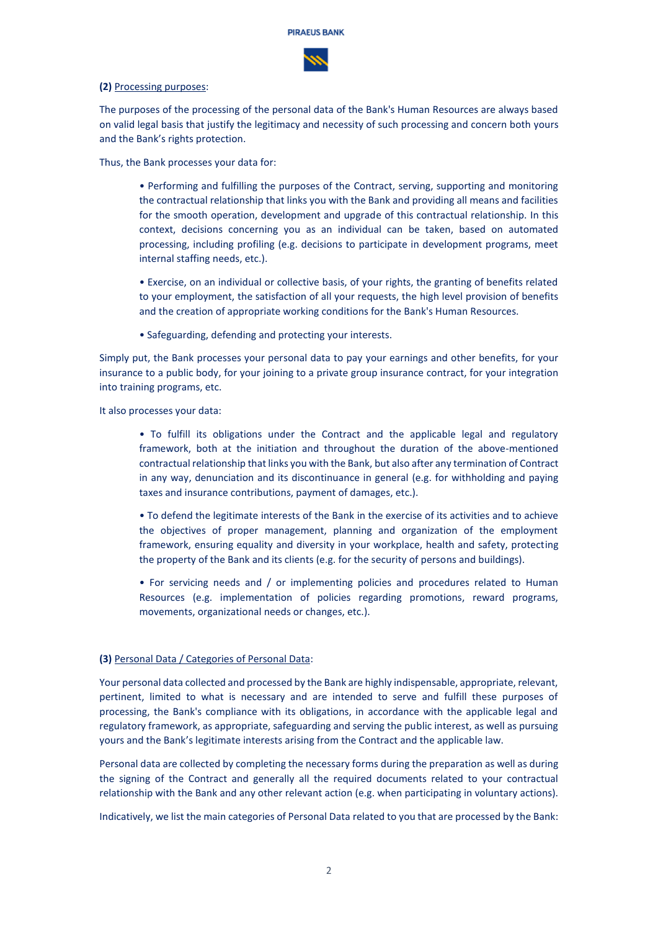

## **(2)** Processing purposes:

The purposes of the processing of the personal data of the Bank's Human Resources are always based on valid legal basis that justify the legitimacy and necessity of such processing and concern both yours and the Bank's rights protection.

Thus, the Bank processes your data for:

- Performing and fulfilling the purposes of the Contract, serving, supporting and monitoring the contractual relationship that links you with the Bank and providing all means and facilities for the smooth operation, development and upgrade of this contractual relationship. In this context, decisions concerning you as an individual can be taken, based on automated processing, including profiling (e.g. decisions to participate in development programs, meet internal staffing needs, etc.).
- Exercise, on an individual or collective basis, of your rights, the granting of benefits related to your employment, the satisfaction of all your requests, the high level provision of benefits and the creation of appropriate working conditions for the Bank's Human Resources.
- Safeguarding, defending and protecting your interests.

Simply put, the Bank processes your personal data to pay your earnings and other benefits, for your insurance to a public body, for your joining to a private group insurance contract, for your integration into training programs, etc.

It also processes your data:

- To fulfill its obligations under the Contract and the applicable legal and regulatory framework, both at the initiation and throughout the duration of the above-mentioned contractual relationship that links you with the Bank, but also after any termination of Contract in any way, denunciation and its discontinuance in general (e.g. for withholding and paying taxes and insurance contributions, payment of damages, etc.).
- To defend the legitimate interests of the Bank in the exercise of its activities and to achieve the objectives of proper management, planning and organization of the employment framework, ensuring equality and diversity in your workplace, health and safety, protecting the property of the Bank and its clients (e.g. for the security of persons and buildings).
- For servicing needs and / or implementing policies and procedures related to Human Resources (e.g. implementation of policies regarding promotions, reward programs, movements, organizational needs or changes, etc.).

# **(3)** Personal Data / Categories of Personal Data:

Your personal data collected and processed by the Bank are highly indispensable, appropriate, relevant, pertinent, limited to what is necessary and are intended to serve and fulfill these purposes of processing, the Bank's compliance with its obligations, in accordance with the applicable legal and regulatory framework, as appropriate, safeguarding and serving the public interest, as well as pursuing yours and the Bank's legitimate interests arising from the Contract and the applicable law.

Personal data are collected by completing the necessary forms during the preparation as well as during the signing of the Contract and generally all the required documents related to your contractual relationship with the Bank and any other relevant action (e.g. when participating in voluntary actions).

Indicatively, we list the main categories of Personal Data related to you that are processed by the Bank: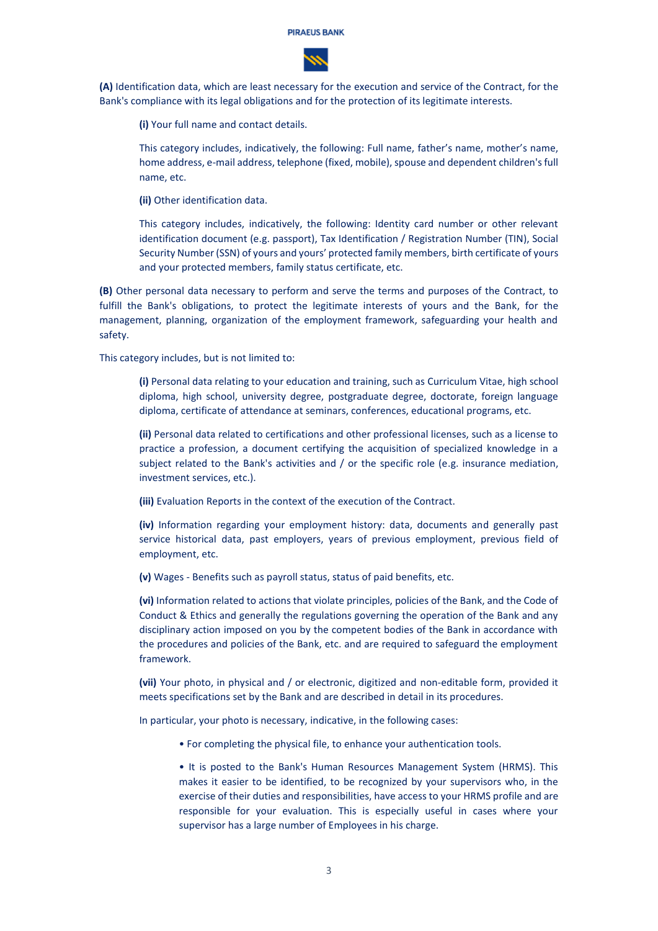

**(A)** Identification data, which are least necessary for the execution and service of the Contract, for the Bank's compliance with its legal obligations and for the protection of its legitimate interests.

**(i)** Your full name and contact details.

This category includes, indicatively, the following: Full name, father's name, mother's name, home address, e-mail address, telephone (fixed, mobile), spouse and dependent children'sfull name, etc.

**(ii)** Other identification data.

This category includes, indicatively, the following: Identity card number or other relevant identification document (e.g. passport), Tax Identification / Registration Number (TIN), Social Security Number (SSN) of yours and yours' protected family members, birth certificate of yours and your protected members, family status certificate, etc.

**(B)** Other personal data necessary to perform and serve the terms and purposes of the Contract, to fulfill the Bank's obligations, to protect the legitimate interests of yours and the Bank, for the management, planning, organization of the employment framework, safeguarding your health and safety.

This category includes, but is not limited to:

**(i)** Personal data relating to your education and training, such as Curriculum Vitae, high school diploma, high school, university degree, postgraduate degree, doctorate, foreign language diploma, certificate of attendance at seminars, conferences, educational programs, etc.

**(ii)** Personal data related to certifications and other professional licenses, such as a license to practice a profession, a document certifying the acquisition of specialized knowledge in a subject related to the Bank's activities and / or the specific role (e.g. insurance mediation, investment services, etc.).

**(iii)** Evaluation Reports in the context of the execution of the Contract.

**(iv)** Information regarding your employment history: data, documents and generally past service historical data, past employers, years of previous employment, previous field of employment, etc.

**(v)** Wages - Benefits such as payroll status, status of paid benefits, etc.

**(vi)** Information related to actions that violate principles, policies of the Bank, and the Code of Conduct & Ethics and generally the regulations governing the operation of the Bank and any disciplinary action imposed on you by the competent bodies of the Bank in accordance with the procedures and policies of the Bank, etc. and are required to safeguard the employment framework.

**(vii)** Your photo, in physical and / or electronic, digitized and non-editable form, provided it meets specifications set by the Bank and are described in detail in its procedures.

In particular, your photo is necessary, indicative, in the following cases:

- For completing the physical file, to enhance your authentication tools.
- It is posted to the Bank's Human Resources Management System (HRMS). This makes it easier to be identified, to be recognized by your supervisors who, in the exercise of their duties and responsibilities, have access to your HRMS profile and are responsible for your evaluation. This is especially useful in cases where your supervisor has a large number of Employees in his charge.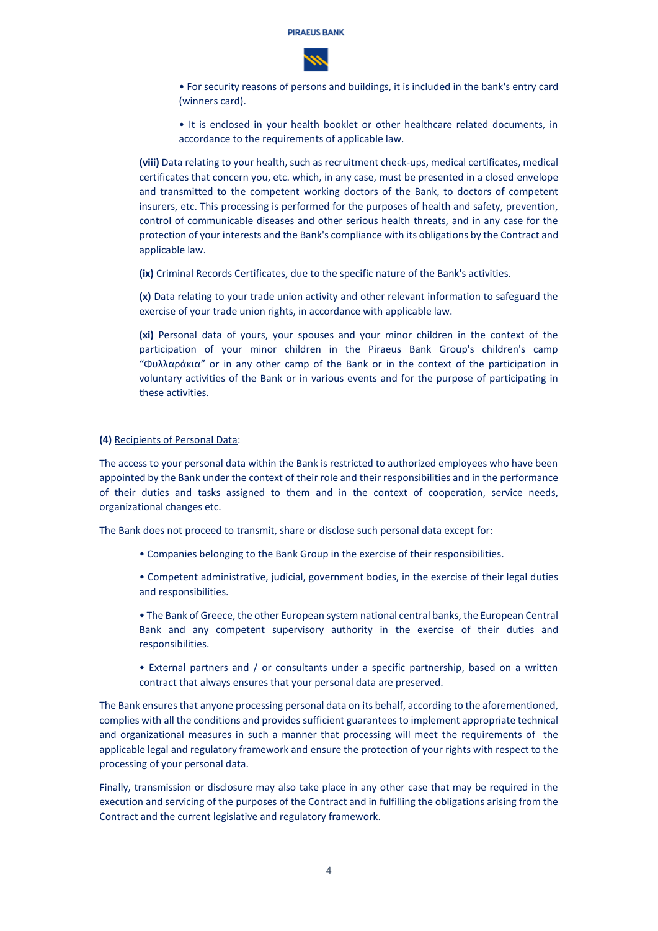

• For security reasons of persons and buildings, it is included in the bank's entry card (winners card).

• It is enclosed in your health booklet or other healthcare related documents, in accordance to the requirements of applicable law.

**(viii)** Data relating to your health, such as recruitment check-ups, medical certificates, medical certificates that concern you, etc. which, in any case, must be presented in a closed envelope and transmitted to the competent working doctors of the Bank, to doctors of competent insurers, etc. This processing is performed for the purposes of health and safety, prevention, control of communicable diseases and other serious health threats, and in any case for the protection of your interests and the Bank's compliance with its obligations by the Contract and applicable law.

**(ix)** Criminal Records Certificates, due to the specific nature of the Bank's activities.

**(x)** Data relating to your trade union activity and other relevant information to safeguard the exercise of your trade union rights, in accordance with applicable law.

**(xi)** Personal data of yours, your spouses and your minor children in the context of the participation of your minor children in the Piraeus Bank Group's children's camp "Φυλλαράκια" or in any other camp of the Bank or in the context of the participation in voluntary activities of the Bank or in various events and for the purpose of participating in these activities.

#### **(4)** Recipients of Personal Data:

The access to your personal data within the Bank is restricted to authorized employees who have been appointed by the Bank under the context of their role and their responsibilities and in the performance of their duties and tasks assigned to them and in the context of cooperation, service needs, organizational changes etc.

The Bank does not proceed to transmit, share or disclose such personal data except for:

- Companies belonging to the Bank Group in the exercise of their responsibilities.
- Competent administrative, judicial, government bodies, in the exercise of their legal duties and responsibilities.
- The Bank of Greece, the other European system national central banks, the European Central Bank and any competent supervisory authority in the exercise of their duties and responsibilities.
- External partners and / or consultants under a specific partnership, based on a written contract that always ensures that your personal data are preserved.

The Bank ensures that anyone processing personal data on its behalf, according to the aforementioned, complies with all the conditions and provides sufficient guarantees to implement appropriate technical and organizational measures in such a manner that processing will meet the requirements of the applicable legal and regulatory framework and ensure the protection of your rights with respect to the processing of your personal data.

Finally, transmission or disclosure may also take place in any other case that may be required in the execution and servicing of the purposes of the Contract and in fulfilling the obligations arising from the Contract and the current legislative and regulatory framework.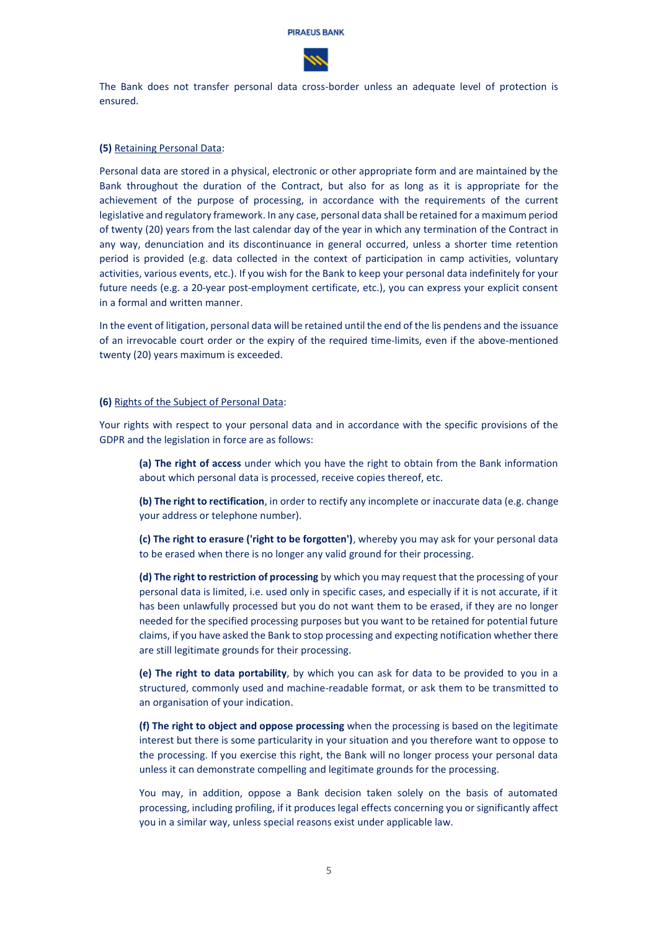

The Bank does not transfer personal data cross-border unless an adequate level of protection is ensured.

#### **(5)** Retaining Personal Data:

Personal data are stored in a physical, electronic or other appropriate form and are maintained by the Bank throughout the duration of the Contract, but also for as long as it is appropriate for the achievement of the purpose of processing, in accordance with the requirements of the current legislative and regulatory framework. In any case, personal data shall be retained for a maximum period of twenty (20) years from the last calendar day of the year in which any termination of the Contract in any way, denunciation and its discontinuance in general occurred, unless a shorter time retention period is provided (e.g. data collected in the context of participation in camp activities, voluntary activities, various events, etc.). If you wish for the Bank to keep your personal data indefinitely for your future needs (e.g. a 20-year post-employment certificate, etc.), you can express your explicit consent in a formal and written manner.

In the event of litigation, personal data will be retained until the end of the lis pendens and the issuance of an irrevocable court order or the expiry of the required time-limits, even if the above-mentioned twenty (20) years maximum is exceeded.

#### **(6)** Rights of the Subject of Personal Data:

Your rights with respect to your personal data and in accordance with the specific provisions of the GDPR and the legislation in force are as follows:

**(a) The right of access** under which you have the right to obtain from the Bank information about which personal data is processed, receive copies thereof, etc.

**(b) The right to rectification**, in order to rectify any incomplete or inaccurate data (e.g. change your address or telephone number).

**(c) The right to erasure ('right to be forgotten')**, whereby you may ask for your personal data to be erased when there is no longer any valid ground for their processing.

**(d) The right to restriction of processing** by which you may request that the processing of your personal data is limited, i.e. used only in specific cases, and especially if it is not accurate, if it has been unlawfully processed but you do not want them to be erased, if they are no longer needed for the specified processing purposes but you want to be retained for potential future claims, if you have asked the Bank to stop processing and expecting notification whether there are still legitimate grounds for their processing.

**(e) The right to data portability**, by which you can ask for data to be provided to you in a structured, commonly used and machine-readable format, or ask them to be transmitted to an organisation of your indication.

**(f) The right to object and oppose processing** when the processing is based on the legitimate interest but there is some particularity in your situation and you therefore want to oppose to the processing. If you exercise this right, the Bank will no longer process your personal data unless it can demonstrate compelling and legitimate grounds for the processing.

You may, in addition, oppose a Bank decision taken solely on the basis of automated processing, including profiling, if it produces legal effects concerning you or significantly affect you in a similar way, unless special reasons exist under applicable law.